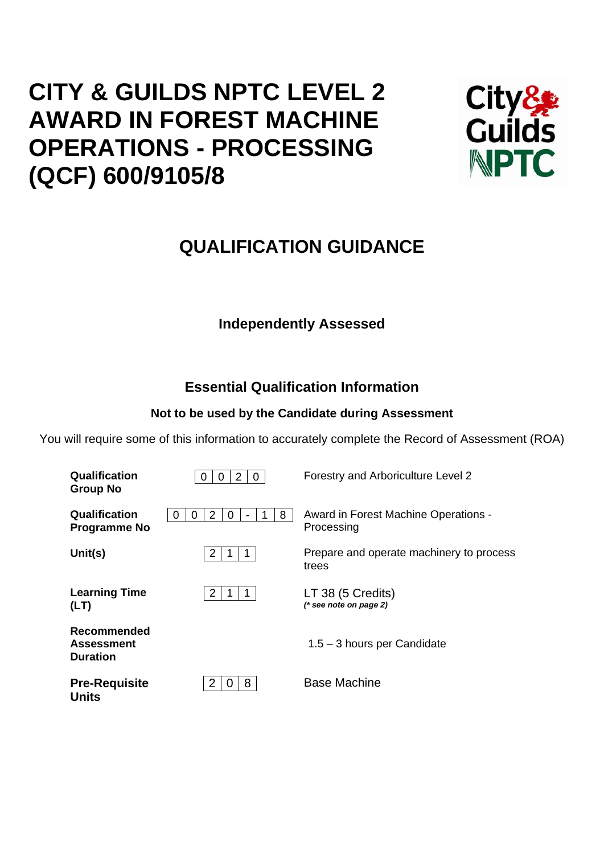# **CITY & GUILDS NPTC LEVEL 2 AWARD IN FOREST MACHINE OPERATIONS - PROCESSING (QCF) 600/9105/8**



## **QUALIFICATION GUIDANCE**

## **Independently Assessed**

## **Essential Qualification Information**

## **Not to be used by the Candidate during Assessment**

You will require some of this information to accurately complete the Record of Assessment (ROA)

| Qualification<br><b>Group No</b>                    | 2<br>$\mathbf{0}$<br>U           | Forestry and Arboriculture Level 2                 |
|-----------------------------------------------------|----------------------------------|----------------------------------------------------|
| Qualification<br><b>Programme No</b>                | 8<br>2<br>0<br>$\mathbf{U}$<br>0 | Award in Forest Machine Operations -<br>Processing |
| Unit(s)                                             | 2<br>1                           | Prepare and operate machinery to process<br>trees  |
| <b>Learning Time</b><br>(LT)                        | 2                                | LT 38 (5 Credits)<br>$(*$ see note on page 2)      |
| Recommended<br><b>Assessment</b><br><b>Duration</b> |                                  | 1.5 - 3 hours per Candidate                        |
| <b>Pre-Requisite</b><br>Units                       | 8                                | <b>Base Machine</b>                                |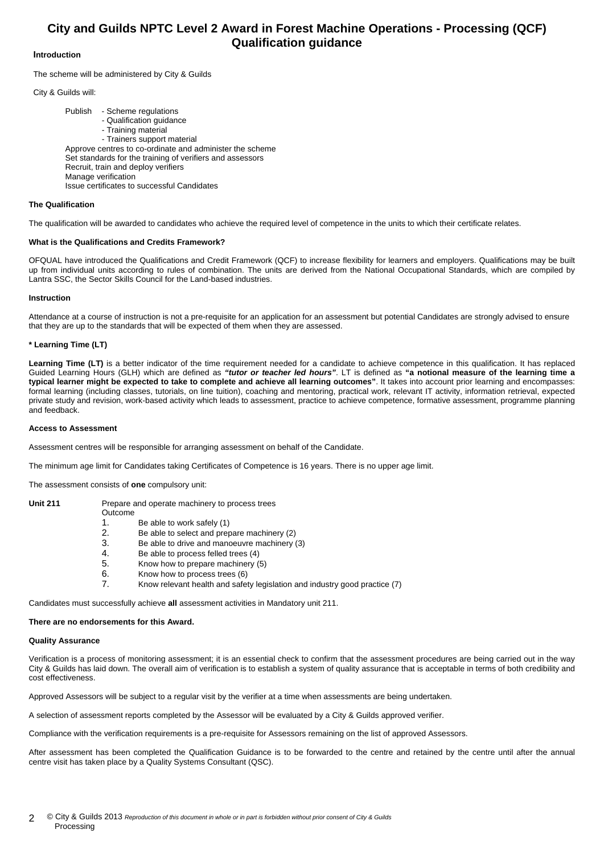### **City and Guilds NPTC Level 2 Award in Forest Machine Operations - Processing (QCF) Qualification guidance**

#### **Introduction**

The scheme will be administered by City & Guilds

City & Guilds will:

 Publish - Scheme regulations - Qualification guidance - Training material - Trainers support material Approve centres to co-ordinate and administer the scheme Set standards for the training of verifiers and assessors Recruit, train and deploy verifiers Manage verification Issue certificates to successful Candidates

#### **The Qualification**

The qualification will be awarded to candidates who achieve the required level of competence in the units to which their certificate relates.

#### **What is the Qualifications and Credits Framework?**

OFQUAL have introduced the Qualifications and Credit Framework (QCF) to increase flexibility for learners and employers. Qualifications may be built up from individual units according to rules of combination. The units are derived from the National Occupational Standards, which are compiled by Lantra SSC, the Sector Skills Council for the Land-based industries.

#### **Instruction**

Attendance at a course of instruction is not a pre-requisite for an application for an assessment but potential Candidates are strongly advised to ensure that they are up to the standards that will be expected of them when they are assessed.

#### **\* Learning Time (LT)**

Learning Time (LT) is a better indicator of the time requirement needed for a candidate to achieve competence in this qualification. It has replaced Guided Learning Hours (GLH) which are defined as *"tutor or teacher led hours"*. LT is defined as **"a notional measure of the learning time a typical learner might be expected to take to complete and achieve all learning outcomes"**. It takes into account prior learning and encompasses: formal learning (including classes, tutorials, on line tuition), coaching and mentoring, practical work, relevant IT activity, information retrieval, expected private study and revision, work-based activity which leads to assessment, practice to achieve competence, formative assessment, programme planning and feedback.

#### **Access to Assessment**

Assessment centres will be responsible for arranging assessment on behalf of the Candidate.

The minimum age limit for Candidates taking Certificates of Competence is 16 years. There is no upper age limit.

The assessment consists of **one** compulsory unit:

#### Unit 211 Prepare and operate machinery to process trees

- Outcome
- 1. Be able to work safely (1)
- 2. Be able to select and prepare machinery (2)
- 3. Be able to drive and manoeuvre machinery (3)
- 4. Be able to process felled trees (4)<br>5. Know how to prepare machinery (
- 5. Know how to prepare machinery (5)
- 6. Know how to process trees  $(6)$ <br>7 Know relevant health and safe
- 7. Know relevant health and safety legislation and industry good practice (7)

Candidates must successfully achieve **all** assessment activities in Mandatory unit 211.

#### **There are no endorsements for this Award.**

#### **Quality Assurance**

Verification is a process of monitoring assessment; it is an essential check to confirm that the assessment procedures are being carried out in the way City & Guilds has laid down. The overall aim of verification is to establish a system of quality assurance that is acceptable in terms of both credibility and cost effectiveness.

Approved Assessors will be subject to a regular visit by the verifier at a time when assessments are being undertaken.

A selection of assessment reports completed by the Assessor will be evaluated by a City & Guilds approved verifier.

Compliance with the verification requirements is a pre-requisite for Assessors remaining on the list of approved Assessors.

After assessment has been completed the Qualification Guidance is to be forwarded to the centre and retained by the centre until after the annual centre visit has taken place by a Quality Systems Consultant (QSC).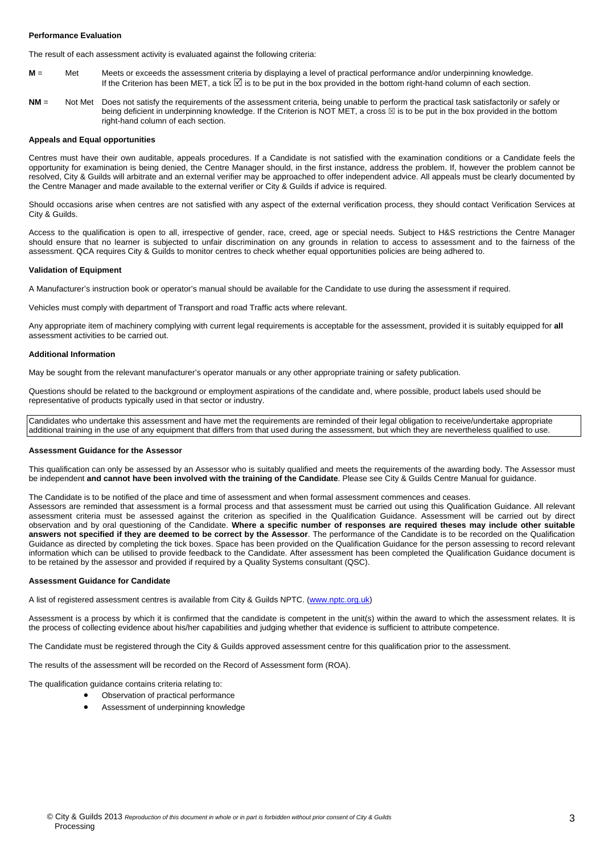#### **Performance Evaluation**

The result of each assessment activity is evaluated against the following criteria:

- **M** = Met Meets or exceeds the assessment criteria by displaying a level of practical performance and/or underpinning knowledge. If the Criterion has been MET, a tick ⊠ is to be put in the box provided in the bottom right-hand column of each section.
- **NM** = Not Met Does not satisfy the requirements of the assessment criteria, being unable to perform the practical task satisfactorily or safely or being deficient in underpinning knowledge. If the Criterion is NOT MET, a cross  $\boxtimes$  is to be put in the box provided in the bottom right-hand column of each section.

#### **Appeals and Equal opportunities**

Centres must have their own auditable, appeals procedures. If a Candidate is not satisfied with the examination conditions or a Candidate feels the opportunity for examination is being denied, the Centre Manager should, in the first instance, address the problem. If, however the problem cannot be resolved, City & Guilds will arbitrate and an external verifier may be approached to offer independent advice. All appeals must be clearly documented by the Centre Manager and made available to the external verifier or City & Guilds if advice is required.

Should occasions arise when centres are not satisfied with any aspect of the external verification process, they should contact Verification Services at City & Guilds.

Access to the qualification is open to all, irrespective of gender, race, creed, age or special needs. Subject to H&S restrictions the Centre Manager should ensure that no learner is subjected to unfair discrimination on any grounds in relation to access to assessment and to the fairness of the assessment. QCA requires City & Guilds to monitor centres to check whether equal opportunities policies are being adhered to.

#### **Validation of Equipment**

A Manufacturer's instruction book or operator's manual should be available for the Candidate to use during the assessment if required.

Vehicles must comply with department of Transport and road Traffic acts where relevant.

Any appropriate item of machinery complying with current legal requirements is acceptable for the assessment, provided it is suitably equipped for **all** assessment activities to be carried out.

#### **Additional Information**

May be sought from the relevant manufacturer's operator manuals or any other appropriate training or safety publication.

Questions should be related to the background or employment aspirations of the candidate and, where possible, product labels used should be representative of products typically used in that sector or industry.

Candidates who undertake this assessment and have met the requirements are reminded of their legal obligation to receive/undertake appropriate additional training in the use of any equipment that differs from that used during the assessment, but which they are nevertheless qualified to use.

#### **Assessment Guidance for the Assessor**

This qualification can only be assessed by an Assessor who is suitably qualified and meets the requirements of the awarding body. The Assessor must be independent **and cannot have been involved with the training of the Candidate**. Please see City & Guilds Centre Manual for guidance.

The Candidate is to be notified of the place and time of assessment and when formal assessment commences and ceases.

Assessors are reminded that assessment is a formal process and that assessment must be carried out using this Qualification Guidance. All relevant assessment criteria must be assessed against the criterion as specified in the Qualification Guidance. Assessment will be carried out by direct observation and by oral questioning of the Candidate. **Where a specific number of responses are required theses may include other suitable answers not specified if they are deemed to be correct by the Assessor**. The performance of the Candidate is to be recorded on the Qualification Guidance as directed by completing the tick boxes. Space has been provided on the Qualification Guidance for the person assessing to record relevant information which can be utilised to provide feedback to the Candidate. After assessment has been completed the Qualification Guidance document is to be retained by the assessor and provided if required by a Quality Systems consultant (QSC).

#### **Assessment Guidance for Candidate**

A list of registered assessment centres is available from City & Guilds NPTC. (www.nptc.org.uk)

Assessment is a process by which it is confirmed that the candidate is competent in the unit(s) within the award to which the assessment relates. It is the process of collecting evidence about his/her capabilities and judging whether that evidence is sufficient to attribute competence.

The Candidate must be registered through the City & Guilds approved assessment centre for this qualification prior to the assessment.

The results of the assessment will be recorded on the Record of Assessment form (ROA).

The qualification guidance contains criteria relating to:

- Observation of practical performance
- Assessment of underpinning knowledge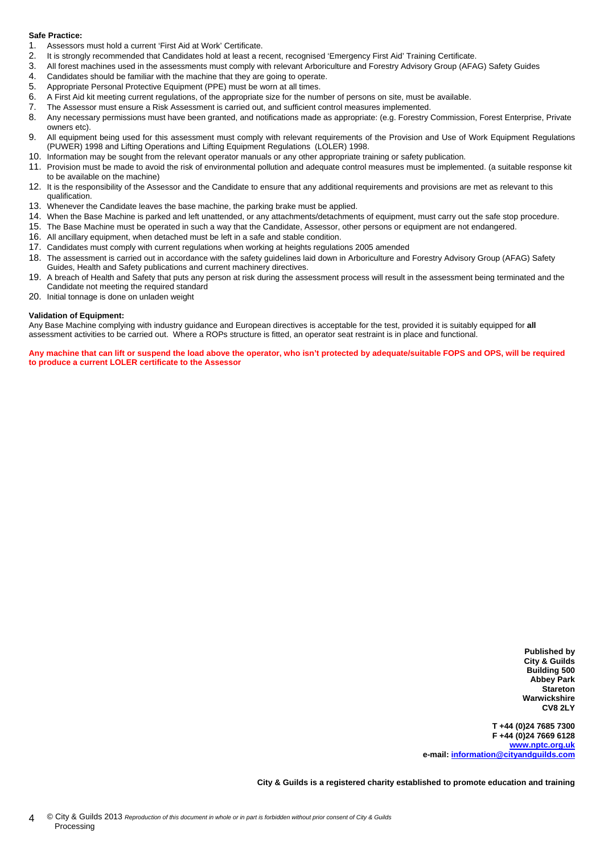#### **Safe Practice:**

- 1. Assessors must hold a current 'First Aid at Work' Certificate.
- 2. It is strongly recommended that Candidates hold at least a recent, recognised 'Emergency First Aid' Training Certificate.
- 3. All forest machines used in the assessments must comply with relevant Arboriculture and Forestry Advisory Group (AFAG) Safety Guides
- 4. Candidates should be familiar with the machine that they are going to operate.
- 5. Appropriate Personal Protective Equipment (PPE) must be worn at all times.
- 6. A First Aid kit meeting current regulations, of the appropriate size for the number of persons on site, must be available.
- 7. The Assessor must ensure a Risk Assessment is carried out, and sufficient control measures implemented.
- 8. Any necessary permissions must have been granted, and notifications made as appropriate: (e.g. Forestry Commission, Forest Enterprise, Private owners etc).
- 9. All equipment being used for this assessment must comply with relevant requirements of the Provision and Use of Work Equipment Regulations (PUWER) 1998 and Lifting Operations and Lifting Equipment Regulations (LOLER) 1998.
- 10. Information may be sought from the relevant operator manuals or any other appropriate training or safety publication.
- 11. Provision must be made to avoid the risk of environmental pollution and adequate control measures must be implemented. (a suitable response kit to be available on the machine)
- 12. It is the responsibility of the Assessor and the Candidate to ensure that any additional requirements and provisions are met as relevant to this qualification.
- 13. Whenever the Candidate leaves the base machine, the parking brake must be applied.
- 14. When the Base Machine is parked and left unattended, or any attachments/detachments of equipment, must carry out the safe stop procedure.
- 15. The Base Machine must be operated in such a way that the Candidate, Assessor, other persons or equipment are not endangered.
- 16. All ancillary equipment, when detached must be left in a safe and stable condition.
- 17. Candidates must comply with current regulations when working at heights regulations 2005 amended
- 18. The assessment is carried out in accordance with the safety guidelines laid down in Arboriculture and Forestry Advisory Group (AFAG) Safety Guides, Health and Safety publications and current machinery directives.
- 19. A breach of Health and Safety that puts any person at risk during the assessment process will result in the assessment being terminated and the Candidate not meeting the required standard
- 20. Initial tonnage is done on unladen weight

#### **Validation of Equipment:**

Any Base Machine complying with industry guidance and European directives is acceptable for the test, provided it is suitably equipped for **all** assessment activities to be carried out. Where a ROPs structure is fitted, an operator seat restraint is in place and functional.

**Any machine that can lift or suspend the load above the operator, who isn't protected by adequate/suitable FOPS and OPS, will be required to produce a current LOLER certificate to the Assessor** 

> **Published by City & Guilds Building 500 Abbey Park Stareton Warwickshire CV8 2LY**

**T +44 (0)24 7685 7300 F +44 (0)24 7669 6128 www.nptc.org.uk e-mail: information@cityandguilds.com**

**City & Guilds is a registered charity established to promote education and training**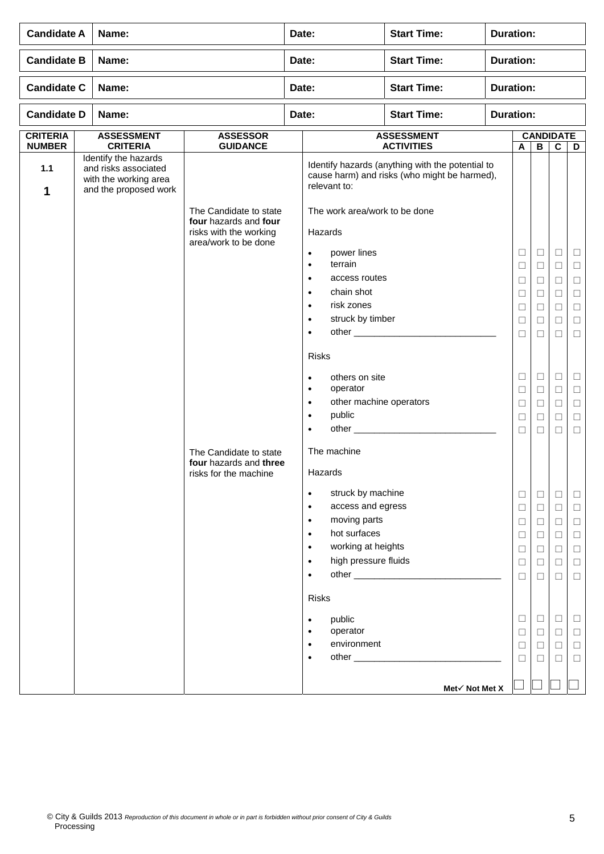| <b>Candidate A</b>               | Name:                                                                                          |                                                                                                                                                                                | Date:                                                                                                                                                                                                                                                                                                                                                                                                                                                                                                                                                                                         | <b>Start Time:</b>                                                                               | <b>Duration:</b> |                                                                                                                                                         |                                                                                                                                                         |                                                                                                                           |                                                                                                                                          |
|----------------------------------|------------------------------------------------------------------------------------------------|--------------------------------------------------------------------------------------------------------------------------------------------------------------------------------|-----------------------------------------------------------------------------------------------------------------------------------------------------------------------------------------------------------------------------------------------------------------------------------------------------------------------------------------------------------------------------------------------------------------------------------------------------------------------------------------------------------------------------------------------------------------------------------------------|--------------------------------------------------------------------------------------------------|------------------|---------------------------------------------------------------------------------------------------------------------------------------------------------|---------------------------------------------------------------------------------------------------------------------------------------------------------|---------------------------------------------------------------------------------------------------------------------------|------------------------------------------------------------------------------------------------------------------------------------------|
| <b>Candidate B</b>               | Name:                                                                                          |                                                                                                                                                                                | Date:                                                                                                                                                                                                                                                                                                                                                                                                                                                                                                                                                                                         | <b>Start Time:</b>                                                                               | <b>Duration:</b> |                                                                                                                                                         |                                                                                                                                                         |                                                                                                                           |                                                                                                                                          |
| <b>Candidate C</b>               | Name:                                                                                          |                                                                                                                                                                                | Date:                                                                                                                                                                                                                                                                                                                                                                                                                                                                                                                                                                                         | <b>Start Time:</b>                                                                               | <b>Duration:</b> |                                                                                                                                                         |                                                                                                                                                         |                                                                                                                           |                                                                                                                                          |
| <b>Candidate D</b>               | Name:                                                                                          |                                                                                                                                                                                | Date:                                                                                                                                                                                                                                                                                                                                                                                                                                                                                                                                                                                         | <b>Start Time:</b>                                                                               | <b>Duration:</b> |                                                                                                                                                         |                                                                                                                                                         |                                                                                                                           |                                                                                                                                          |
| <b>CRITERIA</b><br><b>NUMBER</b> | <b>ASSESSMENT</b><br><b>CRITERIA</b>                                                           | <b>ASSESSOR</b><br><b>GUIDANCE</b>                                                                                                                                             |                                                                                                                                                                                                                                                                                                                                                                                                                                                                                                                                                                                               | <b>ASSESSMENT</b><br><b>ACTIVITIES</b>                                                           |                  | A                                                                                                                                                       | В                                                                                                                                                       | <b>CANDIDATE</b><br>$\mathbf{C}$                                                                                          | D                                                                                                                                        |
| $1.1$<br>1                       | Identify the hazards<br>and risks associated<br>with the working area<br>and the proposed work | The Candidate to state<br>four hazards and four<br>risks with the working<br>area/work to be done<br>The Candidate to state<br>four hazards and three<br>risks for the machine | relevant to:<br>The work area/work to be done<br>Hazards<br>power lines<br>$\bullet$<br>terrain<br>$\bullet$<br>access routes<br>$\bullet$<br>chain shot<br>$\bullet$<br>risk zones<br>$\bullet$<br>struck by timber<br>$\bullet$<br>$\bullet$<br><b>Risks</b><br>others on site<br>$\bullet$<br>operator<br>$\bullet$<br>other machine operators<br>$\bullet$<br>public<br>$\bullet$<br>$\bullet$<br>The machine<br>Hazards<br>struck by machine<br>$\bullet$<br>access and egress<br>$\bullet$<br>moving parts<br>$\bullet$<br>hot surfaces<br>$\bullet$<br>working at heights<br>$\bullet$ | Identify hazards (anything with the potential to<br>cause harm) and risks (who might be harmed), |                  | $\Box$<br>$\Box$<br>□<br>Ш<br>$\Box$<br>□<br>$\Box$<br>$\Box$<br>$\Box$<br>$\Box$<br>$\Box$<br>$\Box$<br>$\Box$<br>$\Box$<br>$\Box$<br>$\Box$<br>$\Box$ | $\Box$<br>$\Box$<br>$\Box$<br>□<br>$\Box$<br>□<br>$\Box$<br>$\Box$<br>$\Box$<br>$\Box$<br>$\Box$<br>$\Box$<br>$\Box$<br>$\Box$<br>$\Box$<br>$\Box$<br>□ | Ц<br>□<br>□<br>⊔<br>$\Box$<br>$\Box$<br>□<br>$\Box$<br>$\Box$<br>$\Box$<br>$\Box$<br>$\Box$<br>⊔<br>□<br>⊔<br>$\Box$<br>⊔ | ⊔<br>□<br>$\Box$<br>Ш<br>$\Box$<br>□<br>$\Box$<br>$\Box$<br>$\Box$<br>$\Box$<br>$\Box$<br>□<br>Ш<br>$\Box$<br>$\Box$<br>$\Box$<br>$\Box$ |
|                                  |                                                                                                |                                                                                                                                                                                | high pressure fluids<br>$\bullet$<br>$\bullet$<br><b>Risks</b>                                                                                                                                                                                                                                                                                                                                                                                                                                                                                                                                |                                                                                                  |                  | $\Box$<br>$\Box$                                                                                                                                        | □<br>□                                                                                                                                                  | □<br>□                                                                                                                    | $\Box$<br>□                                                                                                                              |
|                                  |                                                                                                |                                                                                                                                                                                | public<br>$\bullet$<br>operator<br>$\bullet$<br>environment<br>$\bullet$<br>$\bullet$                                                                                                                                                                                                                                                                                                                                                                                                                                                                                                         |                                                                                                  |                  | $\Box$<br>$\Box$<br>$\Box$<br>□                                                                                                                         | $\Box$<br>$\Box$<br>$\Box$<br>П                                                                                                                         | ⊔<br>$\Box$<br>□<br>⊔                                                                                                     | ⊔<br>$\Box$<br>$\Box$<br>□                                                                                                               |
|                                  |                                                                                                |                                                                                                                                                                                |                                                                                                                                                                                                                                                                                                                                                                                                                                                                                                                                                                                               | Met√ Not Met X                                                                                   |                  |                                                                                                                                                         |                                                                                                                                                         |                                                                                                                           |                                                                                                                                          |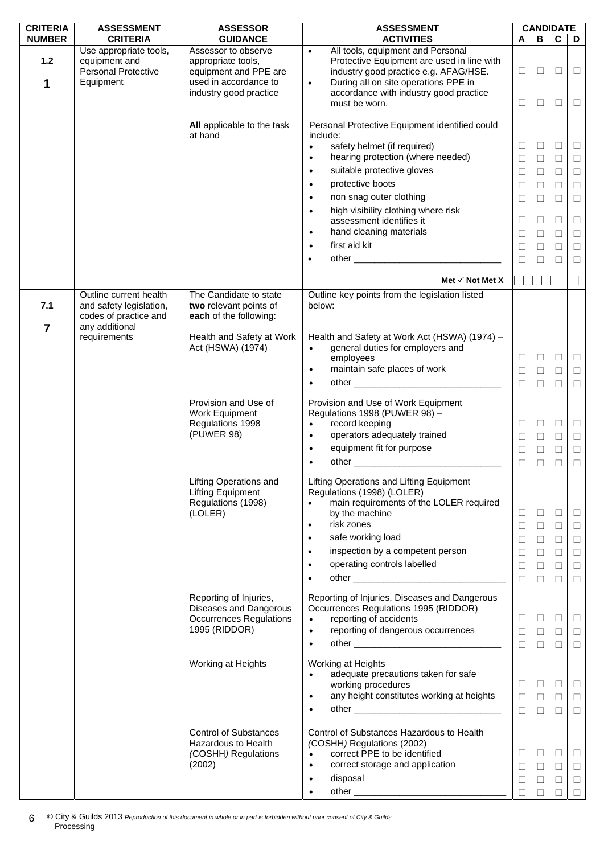| <b>CRITERIA</b>       | <b>ASSESSMENT</b>                                                           | <b>ASSESSOR</b>                                                                                                       | <b>ASSESSMENT</b>                                                                                                                                                                                                                    |                            |                            | <b>CANDIDATE</b>      |                                      |
|-----------------------|-----------------------------------------------------------------------------|-----------------------------------------------------------------------------------------------------------------------|--------------------------------------------------------------------------------------------------------------------------------------------------------------------------------------------------------------------------------------|----------------------------|----------------------------|-----------------------|--------------------------------------|
| <b>NUMBER</b>         | <b>CRITERIA</b>                                                             | <b>GUIDANCE</b>                                                                                                       | <b>ACTIVITIES</b>                                                                                                                                                                                                                    | A                          | B                          | $\mathbf{C}$          | D                                    |
| $1.2$<br>1            | Use appropriate tools,<br>equipment and<br>Personal Protective<br>Equipment | Assessor to observe<br>appropriate tools,<br>equipment and PPE are<br>used in accordance to<br>industry good practice | All tools, equipment and Personal<br>$\bullet$<br>Protective Equipment are used in line with<br>industry good practice e.g. AFAG/HSE.<br>During all on site operations PPE in<br>$\bullet$<br>accordance with industry good practice | $\Box$                     | $\Box$                     | $\Box$                | $\Box$                               |
|                       |                                                                             | All applicable to the task                                                                                            | must be worn.<br>Personal Protective Equipment identified could                                                                                                                                                                      | $\Box$                     | $\Box$                     | □                     | $\Box$                               |
|                       |                                                                             | at hand                                                                                                               | include:                                                                                                                                                                                                                             |                            |                            |                       |                                      |
|                       |                                                                             |                                                                                                                       | safety helmet (if required)<br>$\bullet$<br>hearing protection (where needed)<br>$\bullet$                                                                                                                                           | $\Box$<br>$\Box$           | ⊔<br>$\Box$                | □<br>□                | $\Box$<br>$\Box$                     |
|                       |                                                                             |                                                                                                                       | suitable protective gloves<br>$\bullet$                                                                                                                                                                                              | $\Box$                     | $\Box$                     | $\Box$                | $\Box$                               |
|                       |                                                                             |                                                                                                                       | protective boots<br>$\bullet$                                                                                                                                                                                                        | $\Box$                     | □                          | □                     | $\Box$                               |
|                       |                                                                             |                                                                                                                       | non snag outer clothing<br>$\bullet$                                                                                                                                                                                                 | $\Box$                     | $\Box$                     | $\Box$                | $\Box$                               |
|                       |                                                                             |                                                                                                                       | high visibility clothing where risk<br>$\bullet$<br>assessment identifies it<br>hand cleaning materials<br>$\bullet$                                                                                                                 | $\Box$                     | ⊔                          | □<br>$\Box$           | $\Box$                               |
|                       |                                                                             |                                                                                                                       | first aid kit<br>$\bullet$                                                                                                                                                                                                           | $\Box$<br>$\Box$           | □<br>$\Box$                | $\Box$                | $\Box$<br>$\Box$                     |
|                       |                                                                             |                                                                                                                       | $\bullet$                                                                                                                                                                                                                            | $\Box$                     | $\Box$                     | $\Box$                | $\Box$                               |
|                       |                                                                             |                                                                                                                       |                                                                                                                                                                                                                                      |                            |                            |                       |                                      |
|                       | Outline current health                                                      | The Candidate to state                                                                                                | Met $\checkmark$ Not Met X<br>Outline key points from the legislation listed                                                                                                                                                         |                            |                            |                       |                                      |
| 7.1<br>$\overline{7}$ | and safety legislation,<br>codes of practice and<br>any additional          | two relevant points of<br>each of the following:                                                                      | below:                                                                                                                                                                                                                               |                            |                            |                       |                                      |
|                       | requirements                                                                | Health and Safety at Work<br>Act (HSWA) (1974)                                                                        | Health and Safety at Work Act (HSWA) (1974) -<br>general duties for employers and<br>$\bullet$<br>employees                                                                                                                          | $\Box$                     | $\Box$                     | $\Box$                | $\Box$                               |
|                       |                                                                             |                                                                                                                       | maintain safe places of work<br>$\bullet$                                                                                                                                                                                            | $\Box$                     | □                          | $\Box$                | $\Box$                               |
|                       |                                                                             |                                                                                                                       |                                                                                                                                                                                                                                      | $\Box$                     | $\Box$                     | $\Box$                | $\Box$                               |
|                       |                                                                             | Provision and Use of<br>Work Equipment<br>Regulations 1998<br>(PUWER 98)                                              | Provision and Use of Work Equipment<br>Regulations 1998 (PUWER 98) -<br>record keeping<br>$\bullet$<br>operators adequately trained<br>$\bullet$<br>equipment fit for purpose<br>$\bullet$                                           | $\Box$<br>$\Box$<br>$\Box$ | $\Box$<br>$\Box$<br>□      | $\Box$<br>$\Box$<br>□ | $\Box$<br>$\Box$<br>$\Box$           |
|                       |                                                                             | <b>Lifting Operations and</b><br><b>Lifting Equipment</b><br>Regulations (1998)<br>(LOLER)                            | Lifting Operations and Lifting Equipment<br>Regulations (1998) (LOLER)<br>main requirements of the LOLER required<br>by the machine                                                                                                  | $\Box$<br>$\Box$           | $\Box$<br>$\Box$           | $\Box$<br>□           | $\Box$<br>$\Box$                     |
|                       |                                                                             |                                                                                                                       | risk zones<br>$\bullet$                                                                                                                                                                                                              | $\Box$                     | $\Box$                     | □                     | $\Box$                               |
|                       |                                                                             |                                                                                                                       | safe working load<br>$\bullet$                                                                                                                                                                                                       | $\Box$                     | $\Box$                     | $\Box$                | $\Box$                               |
|                       |                                                                             |                                                                                                                       | inspection by a competent person<br>$\bullet$                                                                                                                                                                                        | $\Box$                     | $\Box$                     | □                     | $\Box$                               |
|                       |                                                                             |                                                                                                                       | operating controls labelled<br>$\bullet$<br>$\bullet$                                                                                                                                                                                | $\Box$<br>$\Box$           | $\Box$<br>$\Box$           | $\Box$<br>П           | $\Box$<br>$\Box$                     |
|                       |                                                                             | Reporting of Injuries,<br>Diseases and Dangerous<br><b>Occurrences Regulations</b><br>1995 (RIDDOR)                   | Reporting of Injuries, Diseases and Dangerous<br>Occurrences Regulations 1995 (RIDDOR)<br>reporting of accidents<br>$\bullet$<br>reporting of dangerous occurrences<br>$\bullet$<br>$\bullet$                                        | $\Box$<br>$\Box$<br>$\Box$ | $\Box$<br>$\Box$<br>$\Box$ | $\Box$<br>□<br>$\Box$ | $\Box$<br>$\Box$<br>$\Box$           |
|                       |                                                                             | Working at Heights                                                                                                    | Working at Heights<br>adequate precautions taken for safe<br>$\bullet$<br>working procedures<br>any height constitutes working at heights<br>$\bullet$<br>$\bullet$                                                                  | $\Box$<br>$\Box$<br>$\Box$ | $\Box$<br>$\Box$<br>$\Box$ | □<br>$\Box$<br>П      | $\Box$<br>$\Box$<br>$\Box$           |
|                       |                                                                             | <b>Control of Substances</b><br>Hazardous to Health<br>(COSHH) Regulations<br>(2002)                                  | Control of Substances Hazardous to Health<br>(COSHH) Regulations (2002)<br>correct PPE to be identified<br>$\bullet$<br>correct storage and application<br>$\bullet$<br>disposal<br>$\bullet$<br>$\bullet$                           | □<br>$\Box$<br>$\Box$<br>П | $\Box$<br>$\Box$<br>$\Box$ | □<br>$\Box$<br>$\Box$ | $\Box$<br>$\Box$<br>$\Box$<br>$\Box$ |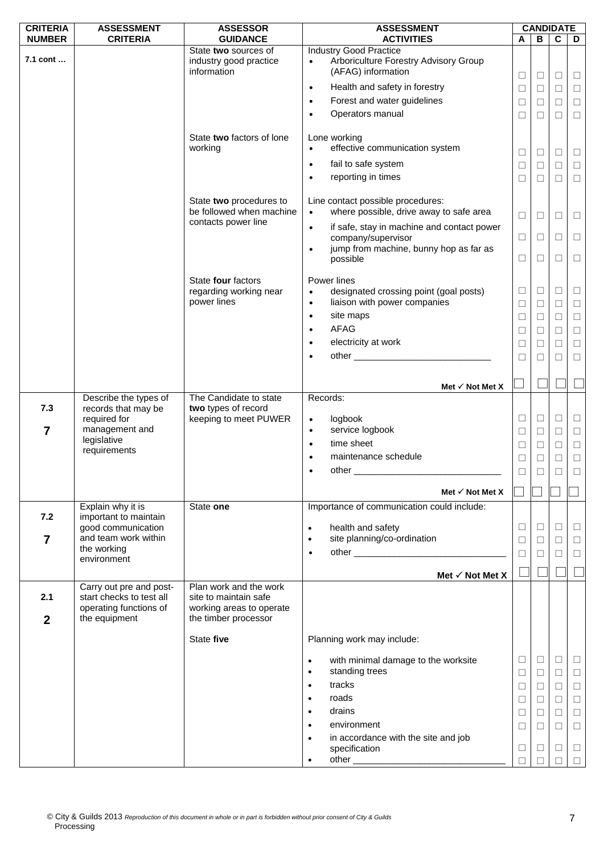| <b>CRITERIA</b>  | <b>ASSESSMENT</b>                                  | <b>ASSESSOR</b>                                               | <b>ASSESSMENT</b>                                                                                         |        |        | <b>CANDIDATE</b> |             |
|------------------|----------------------------------------------------|---------------------------------------------------------------|-----------------------------------------------------------------------------------------------------------|--------|--------|------------------|-------------|
| <b>NUMBER</b>    | <b>CRITERIA</b>                                    | <b>GUIDANCE</b>                                               | <b>ACTIVITIES</b>                                                                                         | A      | В      | C                | D           |
| 7.1 cont         |                                                    | State two sources of<br>industry good practice<br>information | <b>Industry Good Practice</b><br>Arboriculture Forestry Advisory Group<br>$\bullet$<br>(AFAG) information |        |        |                  |             |
|                  |                                                    |                                                               |                                                                                                           | $\Box$ | $\Box$ | $\Box$           | $\Box$      |
|                  |                                                    |                                                               | Health and safety in forestry<br>$\bullet$                                                                | $\Box$ | □      | $\Box$           | $\Box$      |
|                  |                                                    |                                                               | Forest and water guidelines<br>$\bullet$                                                                  | $\Box$ | $\Box$ | $\Box$           | $\Box$      |
|                  |                                                    |                                                               | Operators manual<br>$\bullet$                                                                             | □      | □      | П                | $\Box$      |
|                  |                                                    | State two factors of lone<br>working                          | Lone working<br>effective communication system<br>$\bullet$                                               |        |        |                  |             |
|                  |                                                    |                                                               |                                                                                                           | □      | ⊔      | □                | $\Box$      |
|                  |                                                    |                                                               | fail to safe system<br>$\bullet$                                                                          | $\Box$ | $\Box$ | $\Box$           | $\Box$      |
|                  |                                                    |                                                               | reporting in times<br>$\bullet$                                                                           | □      | $\Box$ | $\Box$           | $\Box$      |
|                  |                                                    | State two procedures to<br>be followed when machine           | Line contact possible procedures:<br>where possible, drive away to safe area<br>$\bullet$                 |        |        |                  |             |
|                  |                                                    | contacts power line                                           |                                                                                                           | $\Box$ | $\Box$ | □                | $\Box$      |
|                  |                                                    |                                                               | if safe, stay in machine and contact power<br>$\bullet$                                                   | $\Box$ |        | $\Box$           |             |
|                  |                                                    |                                                               | company/supervisor<br>jump from machine, bunny hop as far as<br>$\bullet$                                 |        | □      |                  | $\Box$      |
|                  |                                                    |                                                               | possible                                                                                                  | □      | □      | П                | $\Box$      |
|                  |                                                    | State four factors                                            | Power lines                                                                                               |        |        |                  |             |
|                  |                                                    | regarding working near                                        | designated crossing point (goal posts)<br>$\bullet$                                                       | $\Box$ | $\Box$ | $\Box$           | $\Box$      |
|                  |                                                    | power lines                                                   | liaison with power companies<br>$\bullet$                                                                 | $\Box$ | $\Box$ | $\Box$           | $\Box$      |
|                  |                                                    |                                                               | site maps<br>$\bullet$                                                                                    | $\Box$ | □      | $\Box$           | $\Box$      |
|                  |                                                    |                                                               | <b>AFAG</b><br>$\bullet$                                                                                  | $\Box$ | $\Box$ | $\Box$           | $\Box$      |
|                  |                                                    |                                                               | electricity at work<br>$\bullet$                                                                          | □      | □      | $\Box$           | $\Box$      |
|                  |                                                    |                                                               | $\bullet$                                                                                                 | $\Box$ | □      | $\Box$           | $\Box$      |
|                  |                                                    |                                                               |                                                                                                           |        |        |                  |             |
|                  |                                                    |                                                               | Met $\checkmark$ Not Met X                                                                                |        |        |                  |             |
| 7.3              | Describe the types of<br>records that may be       | The Candidate to state<br>two types of record                 | Records:                                                                                                  |        |        |                  |             |
|                  | required for                                       | keeping to meet PUWER                                         | logbook<br>$\bullet$                                                                                      | $\Box$ | $\Box$ | $\Box$           | $\Box$      |
| 7                | management and                                     |                                                               | service logbook<br>$\bullet$                                                                              | $\Box$ | $\Box$ | $\Box$           | $\Box$      |
|                  | legislative                                        |                                                               | time sheet<br>$\bullet$                                                                                   | □      | Ц      | $\Box$           | $\Box$      |
|                  | requirements                                       |                                                               | maintenance schedule<br>$\bullet$                                                                         | $\Box$ | $\Box$ | $\Box$           | $\Box$      |
|                  |                                                    |                                                               | other<br>$\bullet$                                                                                        | $\Box$ | П      | $\Box$           | $\Box$      |
|                  |                                                    |                                                               | Met $\checkmark$ Not Met X                                                                                |        |        |                  |             |
|                  | Explain why it is                                  | State one                                                     | Importance of communication could include:                                                                |        |        |                  |             |
| 7.2              | important to maintain<br>good communication        |                                                               | health and safety<br>$\bullet$                                                                            | ⊔      | ⊔      | Ш                | ш           |
| $\overline{7}$   | and team work within                               |                                                               | site planning/co-ordination<br>$\bullet$                                                                  | $\Box$ | $\Box$ | $\Box$           | $\Box$      |
|                  | the working                                        |                                                               | $\bullet$                                                                                                 | П      | □      | П                | $\Box$      |
|                  | environment                                        |                                                               | Met $\checkmark$ Not Met X                                                                                |        |        |                  |             |
|                  | Carry out pre and post-                            | Plan work and the work                                        |                                                                                                           |        |        |                  |             |
| 2.1              | start checks to test all<br>operating functions of | site to maintain safe<br>working areas to operate             |                                                                                                           |        |        |                  |             |
| $\boldsymbol{2}$ | the equipment                                      | the timber processor                                          |                                                                                                           |        |        |                  |             |
|                  |                                                    | State five                                                    | Planning work may include:                                                                                |        |        |                  |             |
|                  |                                                    |                                                               | with minimal damage to the worksite<br>$\bullet$<br>standing trees<br>$\bullet$                           | □<br>□ | ⊔<br>⊔ | □<br>□           | ш<br>$\Box$ |
|                  |                                                    |                                                               | tracks<br>$\bullet$                                                                                       | $\Box$ | □      | $\Box$           | $\Box$      |
|                  |                                                    |                                                               | roads<br>$\bullet$                                                                                        | $\Box$ | □      | $\Box$           | $\Box$      |
|                  |                                                    |                                                               | drains<br>$\bullet$                                                                                       | $\Box$ | $\Box$ | $\Box$           | $\Box$      |
|                  |                                                    |                                                               | environment<br>$\bullet$                                                                                  | $\Box$ | $\Box$ | $\Box$           | $\Box$      |
|                  |                                                    |                                                               | in accordance with the site and job<br>$\bullet$                                                          |        |        |                  |             |
|                  |                                                    |                                                               | specification                                                                                             | □      | ⊔      | $\Box$           | $\Box$      |
|                  |                                                    |                                                               | $\bullet$                                                                                                 | □      |        | П                | $\Box$      |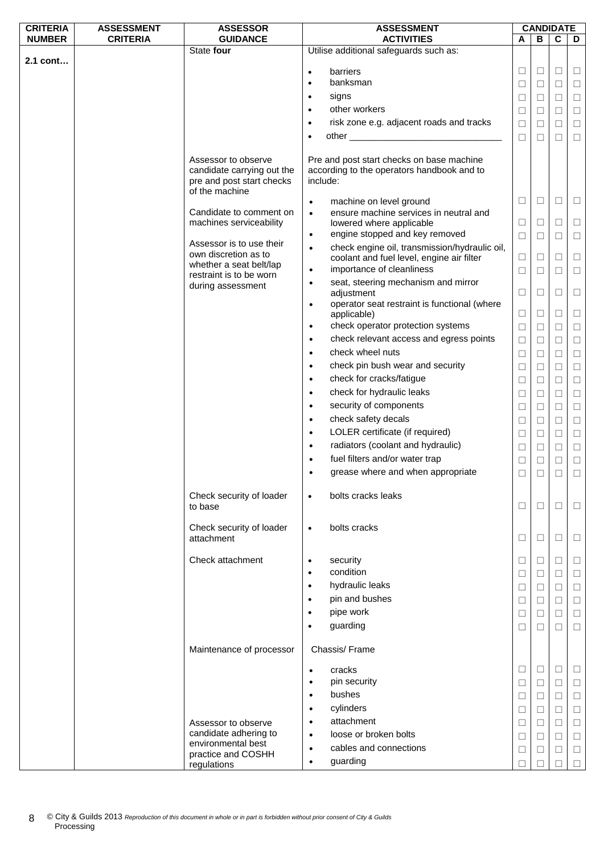| <b>CRITERIA</b> | <b>ASSESSMENT</b> | <b>ASSESSOR</b>            |           | <b>ASSESSMENT</b>                                                                                                                                                                                                             |              |        | <b>CANDIDATE</b> |        |
|-----------------|-------------------|----------------------------|-----------|-------------------------------------------------------------------------------------------------------------------------------------------------------------------------------------------------------------------------------|--------------|--------|------------------|--------|
| <b>NUMBER</b>   | <b>CRITERIA</b>   | <b>GUIDANCE</b>            |           | <b>ACTIVITIES</b>                                                                                                                                                                                                             | A            | В      | C                | D      |
|                 |                   | State four                 |           | Utilise additional safeguards such as:                                                                                                                                                                                        |              |        |                  |        |
| 2.1 cont        |                   |                            |           |                                                                                                                                                                                                                               |              |        |                  |        |
|                 |                   |                            | $\bullet$ | barriers                                                                                                                                                                                                                      | □            | Ш      | $\Box$           | Ш      |
|                 |                   |                            | ٠         | banksman                                                                                                                                                                                                                      | □            | $\Box$ | $\Box$           | □      |
|                 |                   |                            | $\bullet$ | signs                                                                                                                                                                                                                         | □            | □      | $\Box$           | □      |
|                 |                   |                            | $\bullet$ | other workers                                                                                                                                                                                                                 | $\Box$       | $\Box$ | $\Box$           | $\Box$ |
|                 |                   |                            | $\bullet$ | risk zone e.g. adjacent roads and tracks                                                                                                                                                                                      | $\Box$       | $\Box$ | $\Box$           | $\Box$ |
|                 |                   |                            | $\bullet$ | other and the contract of the contract of the contract of the contract of the contract of the contract of the contract of the contract of the contract of the contract of the contract of the contract of the contract of the | $\Box$       | □      | $\Box$           | $\Box$ |
|                 |                   |                            |           |                                                                                                                                                                                                                               |              |        |                  |        |
|                 |                   | Assessor to observe        |           | Pre and post start checks on base machine                                                                                                                                                                                     |              |        |                  |        |
|                 |                   | candidate carrying out the |           | according to the operators handbook and to                                                                                                                                                                                    |              |        |                  |        |
|                 |                   | pre and post start checks  |           | include:                                                                                                                                                                                                                      |              |        |                  |        |
|                 |                   | of the machine             |           |                                                                                                                                                                                                                               |              |        |                  |        |
|                 |                   |                            | $\bullet$ | machine on level ground                                                                                                                                                                                                       | $\Box$       | □      | $\Box$           | ⊔      |
|                 |                   | Candidate to comment on    | $\bullet$ | ensure machine services in neutral and                                                                                                                                                                                        |              |        |                  |        |
|                 |                   | machines serviceability    |           | lowered where applicable                                                                                                                                                                                                      | $\Box$       | □      | $\Box$           | □      |
|                 |                   | Assessor is to use their   | $\bullet$ | engine stopped and key removed                                                                                                                                                                                                | $\Box$       | □      | $\Box$           | $\Box$ |
|                 |                   | own discretion as to       | $\bullet$ | check engine oil, transmission/hydraulic oil,                                                                                                                                                                                 |              |        |                  |        |
|                 |                   | whether a seat belt/lap    |           | coolant and fuel level, engine air filter                                                                                                                                                                                     | □            | $\Box$ | $\Box$           | $\Box$ |
|                 |                   | restraint is to be worn    | $\bullet$ | importance of cleanliness                                                                                                                                                                                                     | □            | □      | □                | □      |
|                 |                   | during assessment          | $\bullet$ | seat, steering mechanism and mirror                                                                                                                                                                                           |              |        |                  |        |
|                 |                   |                            |           | adjustment                                                                                                                                                                                                                    | $\Box$       | ⊔      | □                | ⊔      |
|                 |                   |                            | $\bullet$ | operator seat restraint is functional (where                                                                                                                                                                                  |              |        |                  |        |
|                 |                   |                            |           | applicable)                                                                                                                                                                                                                   | $\Box$       | $\Box$ | $\Box$           | □      |
|                 |                   |                            | $\bullet$ | check operator protection systems                                                                                                                                                                                             | $\Box$       | $\Box$ | $\Box$           | $\Box$ |
|                 |                   |                            | $\bullet$ | check relevant access and egress points                                                                                                                                                                                       | $\Box$       | □      | $\Box$           | $\Box$ |
|                 |                   |                            | $\bullet$ | check wheel nuts                                                                                                                                                                                                              | □            | □      | □                | □      |
|                 |                   |                            | $\bullet$ | check pin bush wear and security                                                                                                                                                                                              | $\Box$       | $\Box$ | $\Box$           | $\Box$ |
|                 |                   |                            | $\bullet$ | check for cracks/fatigue                                                                                                                                                                                                      | $\Box$       | □      | $\Box$           | $\Box$ |
|                 |                   |                            | $\bullet$ | check for hydraulic leaks                                                                                                                                                                                                     | □            | $\Box$ | $\Box$           | $\Box$ |
|                 |                   |                            | $\bullet$ | security of components                                                                                                                                                                                                        | □            | $\Box$ | $\Box$           | □      |
|                 |                   |                            |           |                                                                                                                                                                                                                               |              |        |                  |        |
|                 |                   |                            | $\bullet$ | check safety decals                                                                                                                                                                                                           | □            | □      | $\Box$           | $\Box$ |
|                 |                   |                            | $\bullet$ | LOLER certificate (if required)                                                                                                                                                                                               | □            | $\Box$ | $\Box$           | $\Box$ |
|                 |                   |                            | $\bullet$ | radiators (coolant and hydraulic)                                                                                                                                                                                             | $\Box$       | □      | $\Box$           | $\Box$ |
|                 |                   |                            |           | fuel filters and/or water trap                                                                                                                                                                                                | $\Box$       | □      | $\Box$           | $\Box$ |
|                 |                   |                            |           | grease where and when appropriate                                                                                                                                                                                             | $\Box$       | $\Box$ | □                |        |
|                 |                   |                            |           |                                                                                                                                                                                                                               |              |        |                  |        |
|                 |                   | Check security of loader   | $\bullet$ | bolts cracks leaks                                                                                                                                                                                                            |              |        |                  |        |
|                 |                   | to base                    |           |                                                                                                                                                                                                                               | $\Box$       | □      | $\Box$           | $\Box$ |
|                 |                   |                            |           |                                                                                                                                                                                                                               |              |        |                  |        |
|                 |                   | Check security of loader   | $\bullet$ | bolts cracks                                                                                                                                                                                                                  |              |        |                  |        |
|                 |                   | attachment                 |           |                                                                                                                                                                                                                               | □            | □      | □                | ⊔      |
|                 |                   | Check attachment           |           |                                                                                                                                                                                                                               |              |        |                  |        |
|                 |                   |                            | $\bullet$ | security<br>condition                                                                                                                                                                                                         | $\Box$       | ⊔      | $\Box$           | ⊔      |
|                 |                   |                            | $\bullet$ |                                                                                                                                                                                                                               | $\Box$       | $\Box$ | $\Box$           | $\Box$ |
|                 |                   |                            | $\bullet$ | hydraulic leaks                                                                                                                                                                                                               | □            | $\Box$ | $\Box$           | □      |
|                 |                   |                            |           | pin and bushes                                                                                                                                                                                                                | □            | □      | $\Box$           | $\Box$ |
|                 |                   |                            | $\bullet$ | pipe work                                                                                                                                                                                                                     | $\Box$       | ⊔      | $\Box$           | □      |
|                 |                   |                            | $\bullet$ | guarding                                                                                                                                                                                                                      | □            | □      | □                | □      |
|                 |                   |                            |           |                                                                                                                                                                                                                               |              |        |                  |        |
|                 |                   | Maintenance of processor   |           | Chassis/Frame                                                                                                                                                                                                                 |              |        |                  |        |
|                 |                   |                            |           |                                                                                                                                                                                                                               |              |        |                  |        |
|                 |                   |                            | $\bullet$ | cracks                                                                                                                                                                                                                        | □            | □      | $\Box$           | ப      |
|                 |                   |                            | $\bullet$ | pin security                                                                                                                                                                                                                  | $\Box$       | $\Box$ | $\Box$           | $\Box$ |
|                 |                   |                            | $\bullet$ | bushes                                                                                                                                                                                                                        | $\Box$       | $\Box$ | $\Box$           | $\Box$ |
|                 |                   |                            | $\bullet$ | cylinders                                                                                                                                                                                                                     | □            | ⊔      | $\Box$           | □      |
|                 |                   | Assessor to observe        | $\bullet$ | attachment                                                                                                                                                                                                                    | $\Box$       | □      | $\Box$           | □      |
|                 |                   | candidate adhering to      | $\bullet$ | loose or broken bolts                                                                                                                                                                                                         |              |        |                  |        |
|                 |                   | environmental best         |           |                                                                                                                                                                                                                               | □            | ⊔      | $\Box$           | □      |
|                 |                   | practice and COSHH         | $\bullet$ | cables and connections                                                                                                                                                                                                        | □            | □      | $\Box$           | $\Box$ |
|                 |                   | regulations                | $\bullet$ | guarding                                                                                                                                                                                                                      | $\mathsf{L}$ |        |                  | □      |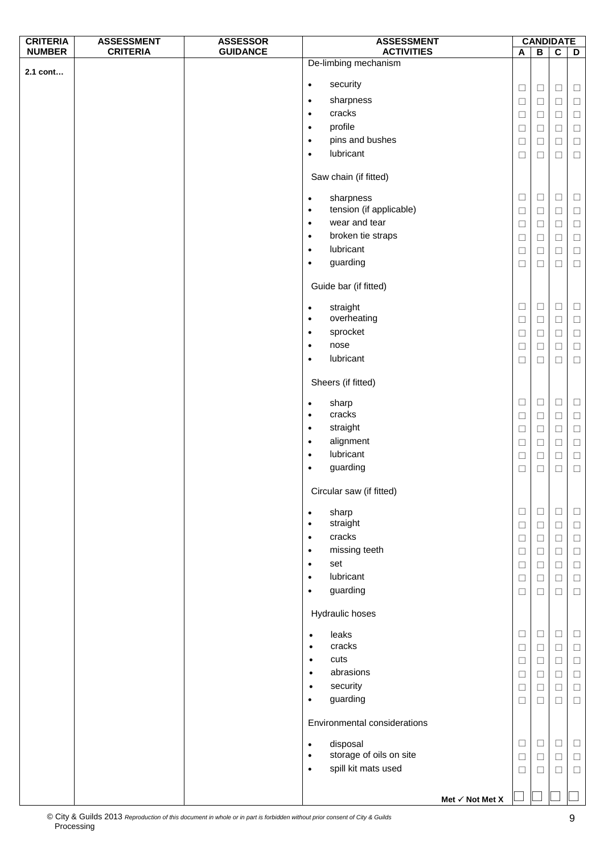| <b>CRITERIA</b> | <b>ASSESSMENT</b> | <b>ASSESSOR</b> | <b>ASSESSMENT</b>                    |        |                | <b>CANDIDATE</b>        |        |
|-----------------|-------------------|-----------------|--------------------------------------|--------|----------------|-------------------------|--------|
| <b>NUMBER</b>   | <b>CRITERIA</b>   | <b>GUIDANCE</b> | <b>ACTIVITIES</b>                    | A      | $\overline{B}$ | $\overline{\mathsf{c}}$ | D      |
| 2.1 cont        |                   |                 | De-limbing mechanism                 |        |                |                         |        |
|                 |                   |                 | security<br>$\bullet$                |        |                |                         |        |
|                 |                   |                 | sharpness                            | $\Box$ | $\Box$         | $\Box$                  | $\Box$ |
|                 |                   |                 | $\bullet$                            | $\Box$ | $\Box$         | $\Box$                  | $\Box$ |
|                 |                   |                 | cracks<br>$\bullet$                  | $\Box$ | $\Box$         | $\Box$                  | $\Box$ |
|                 |                   |                 | profile<br>$\bullet$                 | $\Box$ | $\Box$         | $\Box$                  | $\Box$ |
|                 |                   |                 | pins and bushes<br>$\bullet$         | $\Box$ | $\Box$         | $\Box$                  | $\Box$ |
|                 |                   |                 | lubricant<br>$\bullet$               | $\Box$ | □              | $\Box$                  | $\Box$ |
|                 |                   |                 |                                      |        |                |                         |        |
|                 |                   |                 | Saw chain (if fitted)                |        |                |                         |        |
|                 |                   |                 | sharpness<br>$\bullet$               | $\Box$ | $\Box$         | $\Box$                  | $\Box$ |
|                 |                   |                 | tension (if applicable)<br>$\bullet$ | $\Box$ | $\Box$         | $\Box$                  | $\Box$ |
|                 |                   |                 | wear and tear<br>$\bullet$           | $\Box$ | $\Box$         | $\Box$                  | $\Box$ |
|                 |                   |                 | broken tie straps<br>$\bullet$       | $\Box$ | $\Box$         | $\Box$                  | $\Box$ |
|                 |                   |                 | lubricant<br>$\bullet$               | $\Box$ | $\Box$         | $\Box$                  | $\Box$ |
|                 |                   |                 | guarding<br>$\bullet$                | $\Box$ |                | $\Box$                  | $\Box$ |
|                 |                   |                 |                                      |        | □              |                         |        |
|                 |                   |                 | Guide bar (if fitted)                |        |                |                         |        |
|                 |                   |                 |                                      |        |                |                         |        |
|                 |                   |                 | straight<br>$\bullet$                | $\Box$ | $\Box$         | $\Box$                  | $\Box$ |
|                 |                   |                 | overheating<br>$\bullet$             | $\Box$ | $\Box$         | $\Box$                  | $\Box$ |
|                 |                   |                 | sprocket<br>$\bullet$                | $\Box$ | $\Box$         | $\Box$                  | $\Box$ |
|                 |                   |                 | nose<br>$\bullet$                    | $\Box$ | $\Box$         | $\Box$                  | $\Box$ |
|                 |                   |                 | lubricant<br>$\bullet$               | $\Box$ | $\Box$         | $\Box$                  | $\Box$ |
|                 |                   |                 |                                      |        |                |                         |        |
|                 |                   |                 | Sheers (if fitted)                   |        |                |                         |        |
|                 |                   |                 | sharp<br>$\bullet$                   | $\Box$ | $\Box$         | $\Box$                  | $\Box$ |
|                 |                   |                 | cracks<br>$\bullet$                  | $\Box$ | $\Box$         | $\Box$                  | $\Box$ |
|                 |                   |                 | straight<br>$\bullet$                |        |                |                         |        |
|                 |                   |                 | alignment<br>$\bullet$               | $\Box$ | □              | $\Box$                  | $\Box$ |
|                 |                   |                 | lubricant                            | $\Box$ | $\Box$         | $\Box$                  | $\Box$ |
|                 |                   |                 | $\bullet$<br>guarding                | $\Box$ | $\Box$         | $\Box$                  | $\Box$ |
|                 |                   |                 | $\bullet$                            | $\Box$ | $\Box$         | $\Box$                  | $\Box$ |
|                 |                   |                 | Circular saw (if fitted)             |        |                |                         |        |
|                 |                   |                 |                                      |        |                |                         |        |
|                 |                   |                 | sharp<br>$\bullet$                   | $\Box$ | $\Box$         | $\Box$                  | $\Box$ |
|                 |                   |                 | straight<br>$\bullet$                | $\Box$ | $\Box$         | $\Box$                  | $\Box$ |
|                 |                   |                 | cracks<br>$\bullet$                  | $\Box$ | $\Box$         | $\Box$                  | $\Box$ |
|                 |                   |                 | missing teeth<br>$\bullet$           | $\Box$ | $\Box$         | $\Box$                  | $\Box$ |
|                 |                   |                 | set<br>$\bullet$                     | $\Box$ | $\Box$         | $\Box$                  | $\Box$ |
|                 |                   |                 | lubricant<br>$\bullet$               | $\Box$ | $\Box$         | $\Box$                  | $\Box$ |
|                 |                   |                 | guarding<br>$\bullet$                | $\Box$ | $\Box$         | $\Box$                  | $\Box$ |
|                 |                   |                 | Hydraulic hoses                      |        |                |                         |        |
|                 |                   |                 |                                      |        |                |                         |        |
|                 |                   |                 | leaks<br>$\bullet$                   | $\Box$ | $\Box$         | $\Box$                  | $\Box$ |
|                 |                   |                 | cracks<br>$\bullet$                  | $\Box$ | $\Box$         | $\Box$                  | $\Box$ |
|                 |                   |                 | cuts<br>$\bullet$                    | $\Box$ | $\Box$         | $\Box$                  | $\Box$ |
|                 |                   |                 | abrasions<br>$\bullet$               | $\Box$ | $\Box$         | $\Box$                  | $\Box$ |
|                 |                   |                 | security<br>$\bullet$                | $\Box$ | $\Box$         | $\Box$                  | $\Box$ |
|                 |                   |                 | guarding<br>$\bullet$                | $\Box$ | $\Box$         | $\Box$                  | $\Box$ |
|                 |                   |                 |                                      |        |                |                         |        |
|                 |                   |                 | Environmental considerations         |        |                |                         |        |
|                 |                   |                 | disposal<br>$\bullet$                | $\Box$ | $\Box$         | $\Box$                  | $\Box$ |
|                 |                   |                 | storage of oils on site<br>$\bullet$ | $\Box$ | $\Box$         | $\Box$                  | $\Box$ |
|                 |                   |                 | spill kit mats used<br>$\bullet$     | $\Box$ | $\Box$         | $\Box$                  | $\Box$ |
|                 |                   |                 |                                      |        |                |                         |        |
|                 |                   |                 | Met $\checkmark$ Not Met X           |        |                |                         |        |
|                 |                   |                 |                                      |        |                |                         |        |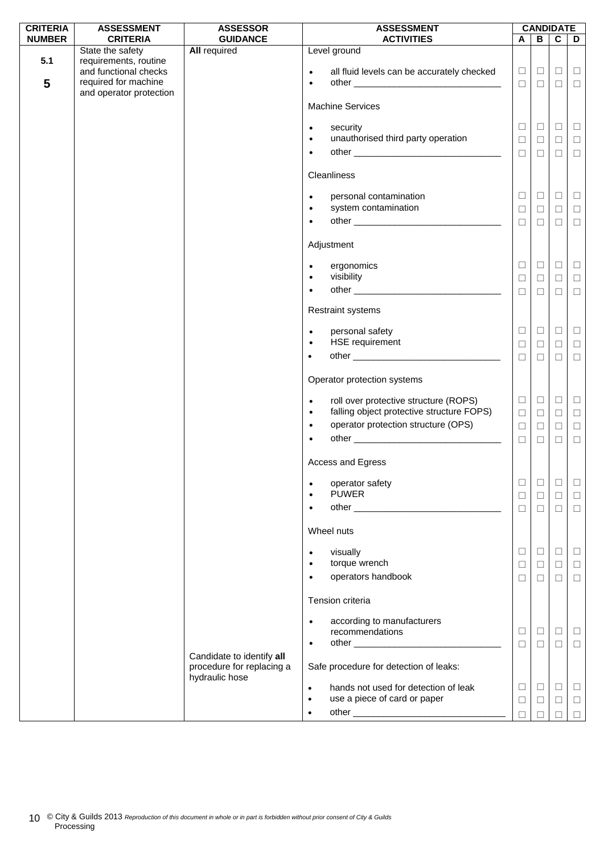| <b>CRITERIA</b> | <b>ASSESSMENT</b>                                                  | <b>ASSESSOR</b>                                                          | <b>ASSESSMENT</b>                                                                                            |                  |                  | <b>CANDIDATE</b> |                  |
|-----------------|--------------------------------------------------------------------|--------------------------------------------------------------------------|--------------------------------------------------------------------------------------------------------------|------------------|------------------|------------------|------------------|
| <b>NUMBER</b>   | <b>CRITERIA</b>                                                    | <b>GUIDANCE</b>                                                          | <b>ACTIVITIES</b>                                                                                            | A                | B                | $\mathbf c$      | D                |
| 5.1             | State the safety<br>requirements, routine<br>and functional checks | <b>All required</b>                                                      | Level ground<br>all fluid levels can be accurately checked<br>$\bullet$                                      | $\Box$           | $\Box$           | $\Box$           | $\Box$           |
| 5               | required for machine<br>and operator protection                    |                                                                          | $\bullet$                                                                                                    | $\Box$           | $\Box$           | $\Box$           | $\Box$           |
|                 |                                                                    |                                                                          | <b>Machine Services</b>                                                                                      |                  |                  |                  |                  |
|                 |                                                                    |                                                                          | security<br>$\bullet$<br>unauthorised third party operation<br>$\bullet$                                     | $\Box$<br>$\Box$ | $\Box$<br>$\Box$ | $\Box$<br>$\Box$ | $\Box$<br>$\Box$ |
|                 |                                                                    |                                                                          | $\bullet$<br>Cleanliness                                                                                     | $\Box$           | $\Box$           | $\Box$           | $\Box$           |
|                 |                                                                    |                                                                          | personal contamination<br>$\bullet$                                                                          | $\Box$           | $\Box$           | $\Box$           | $\sqcup$         |
|                 |                                                                    |                                                                          | system contamination<br>$\bullet$<br>$\bullet$                                                               | $\Box$<br>$\Box$ | $\Box$<br>$\Box$ | $\Box$<br>$\Box$ | $\Box$<br>$\Box$ |
|                 |                                                                    |                                                                          | Adjustment                                                                                                   |                  |                  |                  |                  |
|                 |                                                                    |                                                                          | ergonomics<br>$\bullet$<br>visibility<br>$\bullet$                                                           | $\Box$<br>$\Box$ | $\Box$<br>$\Box$ | $\Box$<br>$\Box$ | $\Box$<br>$\Box$ |
|                 |                                                                    |                                                                          | $\bullet$                                                                                                    | $\Box$           | $\Box$           | $\Box$           | $\Box$           |
|                 |                                                                    |                                                                          | <b>Restraint systems</b><br>personal safety<br>$\bullet$                                                     | $\Box$           | $\Box$           | $\Box$           | $\Box$           |
|                 |                                                                    |                                                                          | <b>HSE</b> requirement<br>$\bullet$<br>$\bullet$                                                             | $\Box$<br>$\Box$ | $\Box$<br>$\Box$ | $\Box$<br>$\Box$ | $\Box$<br>$\Box$ |
|                 |                                                                    |                                                                          | Operator protection systems                                                                                  |                  |                  |                  |                  |
|                 |                                                                    |                                                                          | roll over protective structure (ROPS)<br>$\bullet$<br>falling object protective structure FOPS)<br>$\bullet$ | $\Box$<br>$\Box$ | $\Box$<br>$\Box$ | $\Box$<br>$\Box$ | $\Box$<br>$\Box$ |
|                 |                                                                    |                                                                          | operator protection structure (OPS)<br>$\bullet$<br>$\bullet$                                                | $\Box$<br>$\Box$ | $\Box$<br>$\Box$ | $\Box$<br>$\Box$ | $\Box$<br>$\Box$ |
|                 |                                                                    |                                                                          | Access and Egress                                                                                            |                  |                  |                  |                  |
|                 |                                                                    |                                                                          | operator safety<br><b>PUWER</b>                                                                              | $\Box$<br>$\Box$ | □<br>$\Box$      | $\Box$<br>$\Box$ | ш<br>$\Box$      |
|                 |                                                                    |                                                                          |                                                                                                              | $\Box$           | $\Box$           | $\Box$           | $\Box$           |
|                 |                                                                    |                                                                          | Wheel nuts                                                                                                   |                  |                  |                  |                  |
|                 |                                                                    |                                                                          | visually<br>$\bullet$<br>torque wrench<br>operators handbook                                                 | □<br>$\Box$      | $\Box$<br>$\Box$ | $\Box$<br>$\Box$ | ⊔<br>$\Box$      |
|                 |                                                                    |                                                                          | $\bullet$<br>Tension criteria                                                                                | $\Box$           | □                | $\Box$           | $\Box$           |
|                 |                                                                    |                                                                          | according to manufacturers<br>$\bullet$                                                                      |                  |                  |                  |                  |
|                 |                                                                    |                                                                          | recommendations<br>$\bullet$                                                                                 | $\Box$<br>$\Box$ | $\Box$<br>$\Box$ | $\Box$<br>$\Box$ | $\Box$<br>$\Box$ |
|                 |                                                                    | Candidate to identify all<br>procedure for replacing a<br>hydraulic hose | Safe procedure for detection of leaks:                                                                       |                  |                  |                  |                  |
|                 |                                                                    |                                                                          | hands not used for detection of leak<br>$\bullet$<br>use a piece of card or paper<br>$\bullet$               | $\Box$<br>$\Box$ | $\Box$<br>$\Box$ | $\Box$<br>$\Box$ | $\Box$<br>$\Box$ |
|                 |                                                                    |                                                                          |                                                                                                              | П                |                  |                  | $\Box$           |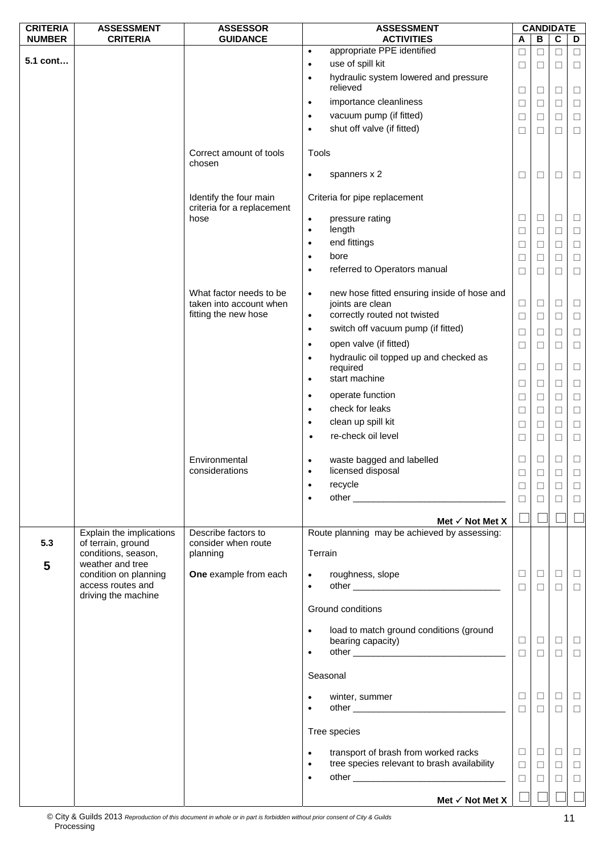| <b>CRITERIA</b> | <b>ASSESSMENT</b>                         | <b>ASSESSOR</b>                                      | <b>ASSESSMENT</b>                                        |             |                  | <b>CANDIDATE</b> |                  |
|-----------------|-------------------------------------------|------------------------------------------------------|----------------------------------------------------------|-------------|------------------|------------------|------------------|
| <b>NUMBER</b>   | <b>CRITERIA</b>                           | <b>GUIDANCE</b>                                      | <b>ACTIVITIES</b>                                        | Α           | B                | $\overline{c}$   | D                |
|                 |                                           |                                                      | appropriate PPE identified<br>$\bullet$                  | □           | $\Box$           | $\Box$           | $\Box$           |
| 5.1 cont        |                                           |                                                      | use of spill kit<br>$\bullet$                            | ⊔           | ⊔                | ⊔                | $\Box$           |
|                 |                                           |                                                      | hydraulic system lowered and pressure<br>$\bullet$       |             |                  |                  |                  |
|                 |                                           |                                                      | relieved                                                 | $\Box$      | □                | $\Box$           | $\Box$           |
|                 |                                           |                                                      | importance cleanliness<br>$\bullet$                      | $\Box$      | □                | $\Box$           | $\Box$           |
|                 |                                           |                                                      | vacuum pump (if fitted)<br>$\bullet$                     | □           | ⊔                | □                | $\Box$           |
|                 |                                           |                                                      | shut off valve (if fitted)<br>$\bullet$                  | □           | □                | □                | $\Box$           |
|                 |                                           |                                                      |                                                          |             |                  |                  |                  |
|                 |                                           | Correct amount of tools<br>chosen                    | Tools                                                    |             |                  |                  |                  |
|                 |                                           |                                                      | spanners x 2<br>$\bullet$                                | □           | □                | □                | $\Box$           |
|                 |                                           | Identify the four main<br>criteria for a replacement | Criteria for pipe replacement                            |             |                  |                  |                  |
|                 |                                           | hose                                                 | pressure rating<br>$\bullet$                             | □           | ⊔                | $\Box$           | $\Box$           |
|                 |                                           |                                                      | length<br>$\bullet$                                      | $\Box$      | $\Box$           | $\Box$           | $\Box$           |
|                 |                                           |                                                      | end fittings<br>$\bullet$                                | □           | ⊔                | □                | $\Box$           |
|                 |                                           |                                                      | bore<br>$\bullet$                                        | $\Box$      | $\Box$           | $\Box$           | $\Box$           |
|                 |                                           |                                                      | referred to Operators manual<br>$\bullet$                | □           | □                | □                | $\Box$           |
|                 |                                           |                                                      |                                                          |             |                  |                  |                  |
|                 |                                           | What factor needs to be                              | new hose fitted ensuring inside of hose and<br>$\bullet$ |             |                  |                  |                  |
|                 |                                           | taken into account when                              | joints are clean                                         | $\Box$      | $\Box$           | $\Box$           | $\Box$           |
|                 |                                           | fitting the new hose                                 | correctly routed not twisted<br>$\bullet$                | $\Box$      | $\Box$           | $\Box$           | $\Box$           |
|                 |                                           |                                                      | switch off vacuum pump (if fitted)<br>$\bullet$          | $\Box$      | $\Box$           | $\Box$           | $\Box$           |
|                 |                                           |                                                      | open valve (if fitted)<br>$\bullet$                      | $\Box$      | $\Box$           | $\Box$           | $\Box$           |
|                 |                                           |                                                      | hydraulic oil topped up and checked as<br>$\bullet$      |             |                  |                  |                  |
|                 |                                           |                                                      | required                                                 | $\Box$      | □                | $\Box$           | $\Box$           |
|                 |                                           |                                                      | start machine<br>$\bullet$                               |             |                  |                  |                  |
|                 |                                           |                                                      | operate function                                         | $\Box$      | ⊔                | □                | $\Box$           |
|                 |                                           |                                                      | $\bullet$                                                | □           | ⊔                | $\Box$           | $\Box$           |
|                 |                                           |                                                      | check for leaks<br>$\bullet$                             | $\Box$      | $\Box$           | $\Box$           | $\Box$           |
|                 |                                           |                                                      | clean up spill kit<br>$\bullet$                          | ⊔           | ⊔                | $\Box$           | $\Box$           |
|                 |                                           |                                                      | re-check oil level<br>$\bullet$                          | $\Box$      | □                | $\Box$           | $\Box$           |
|                 |                                           |                                                      |                                                          |             |                  |                  |                  |
|                 |                                           | Environmental                                        | waste bagged and labelled                                | ⊔           | ⊔                | $\Box$           | $\Box$           |
|                 |                                           | considerations                                       | licensed disposal<br>$\bullet$                           | □           | □                | ⊔                | $\Box$           |
|                 |                                           |                                                      | recycle                                                  | $\Box$      | □                | □                | □                |
|                 |                                           |                                                      |                                                          | П           | $\Box$           | □                | $\Box$           |
|                 |                                           |                                                      |                                                          |             |                  |                  |                  |
|                 |                                           |                                                      | Met $\checkmark$ Not Met X                               |             |                  |                  |                  |
|                 | Explain the implications                  | Describe factors to                                  | Route planning may be achieved by assessing:             |             |                  |                  |                  |
| 5.3             | of terrain, ground<br>conditions, season, | consider when route<br>planning                      | Terrain                                                  |             |                  |                  |                  |
| 5               | weather and tree<br>condition on planning | One example from each                                |                                                          | $\Box$      | $\Box$           | $\Box$           |                  |
|                 | access routes and                         |                                                      | roughness, slope<br>$\bullet$<br>$\bullet$               | $\Box$      | $\Box$           | □                | $\Box$<br>$\Box$ |
|                 | driving the machine                       |                                                      |                                                          |             |                  |                  |                  |
|                 |                                           |                                                      | Ground conditions                                        |             |                  |                  |                  |
|                 |                                           |                                                      | load to match ground conditions (ground<br>$\bullet$     |             |                  |                  |                  |
|                 |                                           |                                                      | bearing capacity)                                        | ⊔           | ⊔                | ш                | $\Box$           |
|                 |                                           |                                                      |                                                          | $\Box$      | $\Box$           | $\Box$           | $\Box$           |
|                 |                                           |                                                      |                                                          |             |                  |                  |                  |
|                 |                                           |                                                      | Seasonal                                                 |             |                  |                  |                  |
|                 |                                           |                                                      | winter, summer                                           | □<br>$\Box$ | $\Box$<br>$\Box$ | $\Box$<br>$\Box$ | $\Box$<br>$\Box$ |
|                 |                                           |                                                      | Tree species                                             |             |                  |                  |                  |
|                 |                                           |                                                      |                                                          |             |                  |                  |                  |
|                 |                                           |                                                      | transport of brash from worked racks<br>$\bullet$        | □           | $\Box$           | $\Box$           | $\Box$           |
|                 |                                           |                                                      | tree species relevant to brash availability              | $\Box$      | $\Box$           | $\Box$           | $\Box$           |
|                 |                                           |                                                      |                                                          | $\Box$      | $\Box$           | $\Box$           | $\Box$           |
|                 |                                           |                                                      |                                                          |             |                  |                  |                  |
|                 |                                           |                                                      | Met $\checkmark$ Not Met X                               |             |                  |                  |                  |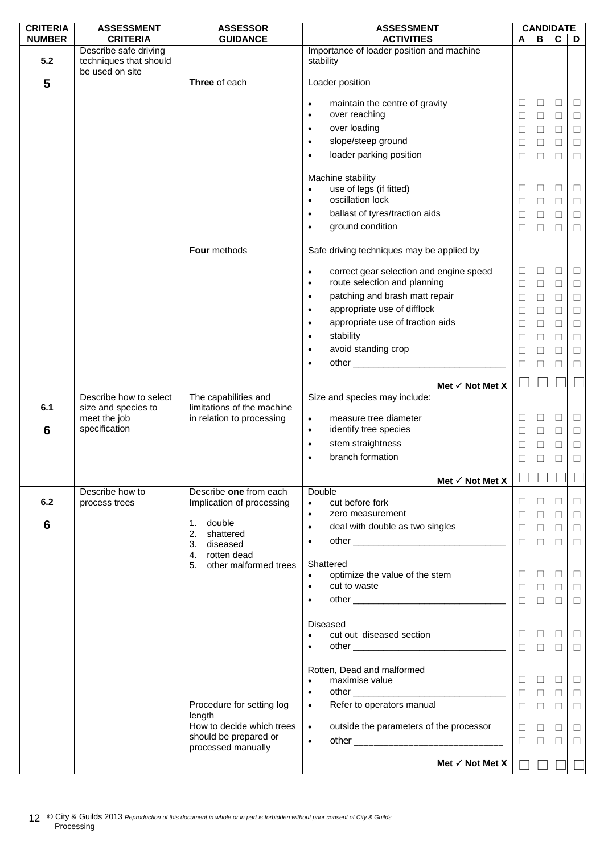| <b>CRITERIA</b> | <b>ASSESSMENT</b>                                                  | <b>ASSESSOR</b>               | <b>ASSESSMENT</b>                                                         |                  |             | <b>CANDIDATE</b> |                  |
|-----------------|--------------------------------------------------------------------|-------------------------------|---------------------------------------------------------------------------|------------------|-------------|------------------|------------------|
| <b>NUMBER</b>   | <b>CRITERIA</b>                                                    | <b>GUIDANCE</b>               | <b>ACTIVITIES</b>                                                         | A                | в           | $\mathbf c$      | D                |
| 5.2             | Describe safe driving<br>techniques that should<br>be used on site |                               | Importance of loader position and machine<br>stability                    |                  |             |                  |                  |
| 5               |                                                                    | Three of each                 | Loader position                                                           |                  |             |                  |                  |
|                 |                                                                    |                               | maintain the centre of gravity<br>$\bullet$<br>over reaching<br>$\bullet$ | $\Box$<br>$\Box$ | $\Box$<br>□ | $\Box$<br>$\Box$ | $\Box$<br>$\Box$ |
|                 |                                                                    |                               | over loading<br>$\bullet$                                                 | $\Box$           | ⊔           | $\Box$           | $\Box$           |
|                 |                                                                    |                               | slope/steep ground<br>$\bullet$                                           | $\Box$           | $\Box$      | $\Box$           | $\Box$           |
|                 |                                                                    |                               | loader parking position<br>$\bullet$                                      | $\Box$           | $\Box$      | $\Box$           | $\Box$           |
|                 |                                                                    |                               | Machine stability                                                         |                  |             |                  |                  |
|                 |                                                                    |                               | use of legs (if fitted)<br>$\bullet$                                      | $\Box$           | $\Box$      | $\Box$           | $\Box$           |
|                 |                                                                    |                               | oscillation lock<br>$\bullet$                                             | $\Box$           | $\Box$      | $\Box$           | $\Box$           |
|                 |                                                                    |                               | ballast of tyres/traction aids<br>$\bullet$                               | □                | ⊔           | $\Box$           | $\Box$           |
|                 |                                                                    |                               | ground condition<br>$\bullet$                                             | $\Box$           | $\Box$      | $\Box$           | $\Box$           |
|                 |                                                                    | Four methods                  | Safe driving techniques may be applied by                                 |                  |             |                  |                  |
|                 |                                                                    |                               | correct gear selection and engine speed<br>$\bullet$                      | $\Box$           | $\Box$      | $\Box$           | $\Box$           |
|                 |                                                                    |                               | route selection and planning<br>$\bullet$                                 | $\Box$           | $\Box$      | $\Box$           | $\Box$           |
|                 |                                                                    |                               | patching and brash matt repair<br>$\bullet$                               | $\Box$           | $\Box$      | $\Box$           | $\Box$           |
|                 |                                                                    |                               | appropriate use of difflock<br>$\bullet$                                  | $\Box$           | $\Box$      | $\Box$           | $\Box$           |
|                 |                                                                    |                               | appropriate use of traction aids<br>$\bullet$                             | $\Box$           | □           | $\Box$           | $\Box$           |
|                 |                                                                    |                               | stability<br>$\bullet$                                                    | □                | $\Box$      | $\Box$           | $\Box$           |
|                 |                                                                    |                               | avoid standing crop<br>$\bullet$                                          | $\Box$           | □           | $\Box$           | $\Box$           |
|                 |                                                                    |                               | ٠                                                                         | □                | ⊔           | П                | $\Box$           |
|                 |                                                                    |                               | Met $\checkmark$ Not Met X                                                |                  |             |                  |                  |
|                 | Describe how to select                                             | The capabilities and          | Size and species may include:                                             |                  |             |                  |                  |
| 6.1             | size and species to                                                | limitations of the machine    |                                                                           |                  |             |                  |                  |
|                 | meet the job<br>specification                                      | in relation to processing     | measure tree diameter<br>$\bullet$                                        | $\Box$           | $\Box$      | $\Box$           | $\Box$           |
| 6               |                                                                    |                               | identify tree species<br>$\bullet$                                        | $\Box$           | ⊔           | $\Box$           | $\Box$           |
|                 |                                                                    |                               | stem straightness<br>$\bullet$                                            | $\Box$           | □           | $\Box$           | $\Box$           |
|                 |                                                                    |                               | branch formation<br>$\bullet$                                             | $\Box$           | $\Box$      | $\Box$           | $\Box$           |
|                 |                                                                    |                               | Met $\checkmark$ Not Met X                                                |                  |             |                  |                  |
|                 | Describe how to                                                    | Describe one from each        | Double                                                                    | $\Box$           |             | $\Box$           |                  |
| 6.2             | process trees                                                      | Implication of processing     | cut before fork<br>$\bullet$<br>zero measurement<br>$\bullet$             |                  | $\Box$      |                  | $\Box$           |
| 6               |                                                                    | 1. double                     | deal with double as two singles<br>$\bullet$                              | $\Box$           | $\Box$      | $\Box$           | $\Box$           |
|                 |                                                                    | 2. shattered                  |                                                                           | $\Box$           | ⊔           | $\Box$           | $\Box$           |
|                 |                                                                    | 3. diseased<br>4. rotten dead | ٠                                                                         | $\Box$           | $\Box$      | $\Box$           | $\Box$           |
|                 |                                                                    | 5. other malformed trees      | Shattered                                                                 |                  |             |                  |                  |
|                 |                                                                    |                               | optimize the value of the stem<br>$\bullet$                               | $\Box$           | $\Box$      | $\Box$           | $\Box$           |
|                 |                                                                    |                               | cut to waste<br>$\bullet$                                                 | $\Box$           | $\Box$      | $\Box$           | $\Box$           |
|                 |                                                                    |                               | $\bullet$                                                                 | $\Box$           | $\Box$      | $\Box$           | $\Box$           |
|                 |                                                                    |                               | <b>Diseased</b>                                                           |                  |             |                  |                  |
|                 |                                                                    |                               | cut out diseased section<br>$\bullet$                                     | $\Box$           | ⊔           | $\Box$           | $\Box$           |
|                 |                                                                    |                               | $\bullet$                                                                 | $\Box$           | $\Box$      | $\Box$           | $\Box$           |
|                 |                                                                    |                               |                                                                           |                  |             |                  |                  |
|                 |                                                                    |                               | Rotten, Dead and malformed                                                |                  |             |                  |                  |
|                 |                                                                    |                               | maximise value<br>$\bullet$                                               | $\Box$           | □           | □                | $\Box$           |
|                 |                                                                    | Procedure for setting log     | $\bullet$<br>Refer to operators manual<br>$\bullet$                       | $\Box$           | $\Box$      | $\Box$           | $\Box$           |
|                 |                                                                    | length                        |                                                                           | $\Box$           | $\Box$      | $\Box$           | $\Box$           |
|                 |                                                                    | How to decide which trees     | outside the parameters of the processor<br>$\bullet$                      | $\Box$           | $\Box$      | $\Box$           | $\Box$           |
|                 |                                                                    | should be prepared or         | $\bullet$                                                                 | $\Box$           | $\Box$      | $\Box$           | $\Box$           |
|                 |                                                                    | processed manually            |                                                                           |                  |             |                  |                  |
|                 |                                                                    |                               | Met $\checkmark$ Not Met X                                                |                  |             |                  |                  |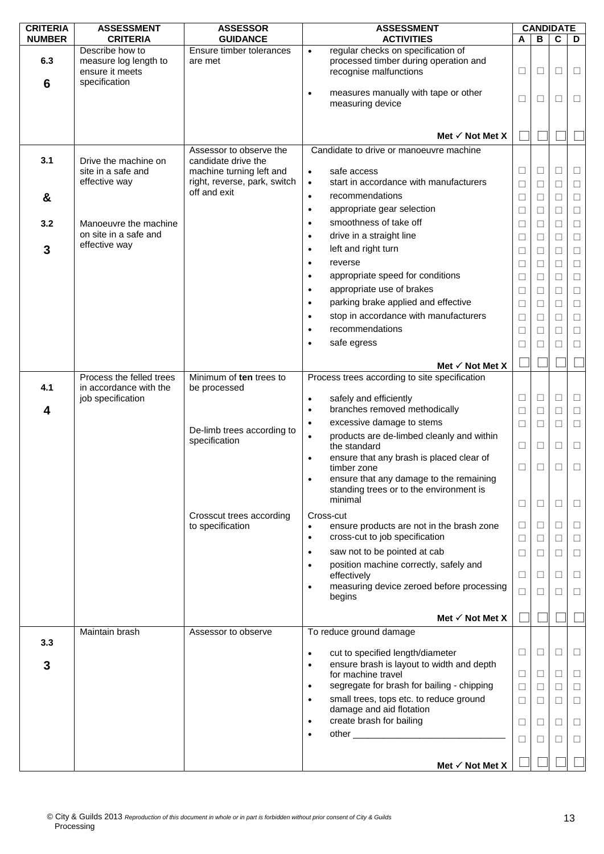| <b>CRITERIA</b> | <b>ASSESSMENT</b>                                           | <b>ASSESSOR</b>                              | <b>ASSESSMENT</b>                                                                                                  |                  | <b>CANDIDATE</b> |                  |                  |
|-----------------|-------------------------------------------------------------|----------------------------------------------|--------------------------------------------------------------------------------------------------------------------|------------------|------------------|------------------|------------------|
| <b>NUMBER</b>   | <b>CRITERIA</b>                                             | <b>GUIDANCE</b>                              | <b>ACTIVITIES</b>                                                                                                  | A                | В                | C                | D                |
| 6.3             | Describe how to<br>measure log length to<br>ensure it meets | Ensure timber tolerances<br>are met          | regular checks on specification of<br>$\bullet$<br>processed timber during operation and<br>recognise malfunctions | $\Box$           | ⊔                | □                | □                |
| 6               | specification                                               |                                              | measures manually with tape or other<br>$\bullet$<br>measuring device                                              | $\Box$           | □                | □                | □                |
|                 |                                                             |                                              | Met $\checkmark$ Not Met X                                                                                         |                  |                  |                  |                  |
|                 |                                                             | Assessor to observe the                      | Candidate to drive or manoeuvre machine                                                                            |                  |                  |                  |                  |
| 3.1             | Drive the machine on                                        | candidate drive the                          |                                                                                                                    |                  |                  |                  |                  |
|                 | site in a safe and                                          | machine turning left and                     | safe access<br>$\bullet$                                                                                           | $\Box$           | ⊔                | □                | $\Box$           |
|                 | effective way                                               | right, reverse, park, switch<br>off and exit | start in accordance with manufacturers<br>$\bullet$<br>recommendations                                             | $\Box$           | $\Box$           | $\Box$           | $\Box$           |
| &               |                                                             |                                              | $\bullet$<br>appropriate gear selection<br>$\bullet$                                                               | $\Box$           | ⊔                | $\Box$           | $\Box$           |
| 3.2             | Manoeuvre the machine                                       |                                              | smoothness of take off<br>$\bullet$                                                                                | $\Box$<br>$\Box$ | $\Box$<br>П      | □<br>$\Box$      | $\Box$<br>$\Box$ |
|                 | on site in a safe and                                       |                                              | drive in a straight line<br>$\bullet$                                                                              | $\Box$           |                  | $\Box$           | $\Box$           |
| 3               | effective way                                               |                                              | left and right turn<br>$\bullet$                                                                                   | $\Box$           |                  | $\Box$           | $\Box$           |
|                 |                                                             |                                              | reverse<br>$\bullet$                                                                                               | $\Box$           | □                | $\Box$           | $\Box$           |
|                 |                                                             |                                              | appropriate speed for conditions<br>$\bullet$                                                                      | $\Box$           | □                | $\Box$           | $\Box$           |
|                 |                                                             |                                              | appropriate use of brakes<br>$\bullet$                                                                             | $\Box$           | $\Box$           | $\Box$           | $\Box$           |
|                 |                                                             |                                              | parking brake applied and effective<br>$\bullet$                                                                   | $\Box$           | □                | $\Box$           | $\Box$           |
|                 |                                                             |                                              | stop in accordance with manufacturers<br>$\bullet$                                                                 | $\Box$           | Ш                | $\Box$           | $\Box$           |
|                 |                                                             |                                              | recommendations<br>$\bullet$                                                                                       | $\Box$           | $\Box$           | $\Box$           | $\Box$           |
|                 |                                                             |                                              | safe egress<br>$\bullet$                                                                                           | □                |                  | П                | $\Box$           |
|                 |                                                             |                                              | Met $\checkmark$ Not Met X                                                                                         |                  |                  |                  |                  |
|                 | Process the felled trees                                    | Minimum of ten trees to                      | Process trees according to site specification                                                                      |                  |                  |                  |                  |
| 4.1             | in accordance with the                                      | be processed                                 |                                                                                                                    |                  |                  |                  |                  |
| 4               | job specification                                           |                                              | safely and efficiently<br>$\bullet$<br>branches removed methodically<br>$\bullet$                                  | $\Box$<br>$\Box$ | □<br>□           | $\Box$<br>$\Box$ | $\Box$<br>$\Box$ |
|                 |                                                             |                                              | excessive damage to stems<br>$\bullet$                                                                             | $\Box$           | $\Box$           | □                | $\Box$           |
|                 |                                                             | De-limb trees according to                   | products are de-limbed cleanly and within<br>$\bullet$                                                             |                  |                  |                  |                  |
|                 |                                                             | specification                                | the standard                                                                                                       | $\Box$           | □                | $\Box$           | $\Box$           |
|                 |                                                             |                                              | ensure that any brash is placed clear of<br>$\bullet$<br>timber zone                                               | $\Box$           | $\Box$           | $\Box$           | $\Box$           |
|                 |                                                             |                                              | ensure that any damage to the remaining<br>٠                                                                       |                  |                  |                  |                  |
|                 |                                                             |                                              | standing trees or to the environment is                                                                            |                  |                  |                  |                  |
|                 |                                                             |                                              | minimal                                                                                                            | $\Box$           | □                | $\Box$           | □                |
|                 |                                                             | Crosscut trees according<br>to specification | Cross-cut<br>ensure products are not in the brash zone                                                             | $\Box$           | □                | $\Box$           | $\Box$           |
|                 |                                                             |                                              | $\bullet$<br>cross-cut to job specification<br>$\bullet$                                                           | $\Box$           | □                | $\Box$           | $\Box$           |
|                 |                                                             |                                              | saw not to be pointed at cab<br>$\bullet$                                                                          | $\Box$           | □                | $\Box$           | $\Box$           |
|                 |                                                             |                                              | position machine correctly, safely and<br>$\bullet$                                                                |                  |                  |                  |                  |
|                 |                                                             |                                              | effectively                                                                                                        | □                | ⊔                | $\Box$           | □                |
|                 |                                                             |                                              | measuring device zeroed before processing<br>$\bullet$<br>begins                                                   | $\Box$           | □                | $\Box$           | $\Box$           |
|                 |                                                             |                                              |                                                                                                                    |                  |                  |                  |                  |
|                 |                                                             |                                              | Met $\checkmark$ Not Met X                                                                                         |                  |                  |                  |                  |
| 3.3             | Maintain brash                                              | Assessor to observe                          | To reduce ground damage                                                                                            |                  |                  |                  |                  |
|                 |                                                             |                                              | cut to specified length/diameter<br>$\bullet$                                                                      | $\Box$           | $\Box$           | □                | □                |
| 3               |                                                             |                                              | ensure brash is layout to width and depth<br>$\bullet$                                                             |                  |                  |                  |                  |
|                 |                                                             |                                              | for machine travel<br>segregate for brash for bailing - chipping<br>$\bullet$                                      | $\Box$<br>$\Box$ | □<br>□           | $\Box$<br>$\Box$ | □<br>$\Box$      |
|                 |                                                             |                                              | small trees, tops etc. to reduce ground<br>$\bullet$                                                               | $\Box$           | □                | □                | $\Box$           |
|                 |                                                             |                                              | damage and aid flotation                                                                                           |                  |                  |                  |                  |
|                 |                                                             |                                              | create brash for bailing<br>$\bullet$                                                                              | $\Box$           | ⊔                | □                | ⊔                |
|                 |                                                             |                                              | $\bullet$                                                                                                          | П                | $\Box$           | П                | □                |
|                 |                                                             |                                              |                                                                                                                    |                  |                  |                  |                  |
|                 |                                                             |                                              | Met $\checkmark$ Not Met X                                                                                         |                  |                  |                  |                  |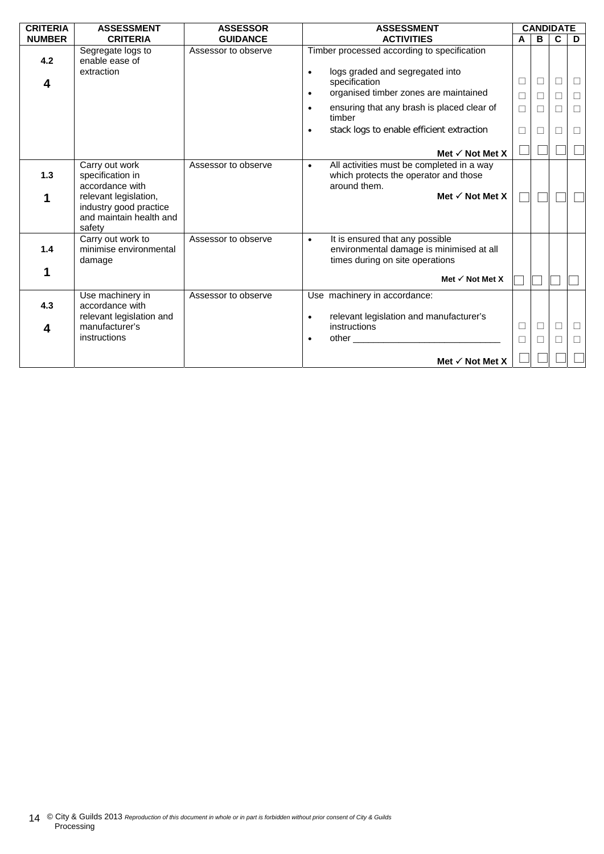| <b>CRITERIA</b> | <b>ASSESSMENT</b>                                                                    | <b>ASSESSOR</b>     | <b>ASSESSMENT</b>                                                                                                                                     |        |    | <b>CANDIDATE</b> |        |
|-----------------|--------------------------------------------------------------------------------------|---------------------|-------------------------------------------------------------------------------------------------------------------------------------------------------|--------|----|------------------|--------|
| <b>NUMBER</b>   | <b>CRITERIA</b>                                                                      | <b>GUIDANCE</b>     | <b>ACTIVITIES</b>                                                                                                                                     | A      | B. | $\mathbf c$      | D      |
| 4.2<br>4        | Segregate logs to<br>enable ease of<br>extraction                                    | Assessor to observe | Timber processed according to specification<br>logs graded and segregated into<br>$\bullet$<br>specification<br>organised timber zones are maintained | □      | □  | $\Box$           | $\Box$ |
|                 |                                                                                      |                     | $\bullet$                                                                                                                                             | $\Box$ |    | П                | $\Box$ |
|                 |                                                                                      |                     | ensuring that any brash is placed clear of<br>$\bullet$<br>timber                                                                                     | $\Box$ | П  | П                | $\Box$ |
|                 |                                                                                      |                     | stack logs to enable efficient extraction<br>$\bullet$                                                                                                | П      |    |                  | □      |
|                 |                                                                                      |                     | Met $\checkmark$ Not Met X                                                                                                                            |        |    |                  |        |
| 1.3             | Carry out work<br>specification in<br>accordance with                                | Assessor to observe | All activities must be completed in a way<br>$\bullet$<br>which protects the operator and those<br>around them.                                       |        |    |                  |        |
|                 | relevant legislation,<br>industry good practice<br>and maintain health and<br>safety |                     | Met $\checkmark$ Not Met X                                                                                                                            |        |    |                  |        |
| 1.4             | Carry out work to<br>minimise environmental<br>damage                                | Assessor to observe | It is ensured that any possible<br>$\bullet$<br>environmental damage is minimised at all<br>times during on site operations                           |        |    |                  |        |
| 1               |                                                                                      |                     | Met $\checkmark$ Not Met X                                                                                                                            |        |    |                  |        |
| 4.3             | Use machinery in<br>accordance with<br>relevant legislation and                      | Assessor to observe | Use machinery in accordance:<br>relevant legislation and manufacturer's<br>$\bullet$                                                                  |        |    |                  |        |
| 4               | manufacturer's                                                                       |                     | instructions                                                                                                                                          | □      |    | $\Box$           | $\Box$ |
|                 | instructions                                                                         |                     | other and the contract of the contract of the contract of the contract of the contract of the contract of the<br>$\bullet$                            | П      |    |                  | П      |
|                 |                                                                                      |                     | Met $\checkmark$ Not Met X                                                                                                                            |        |    |                  |        |